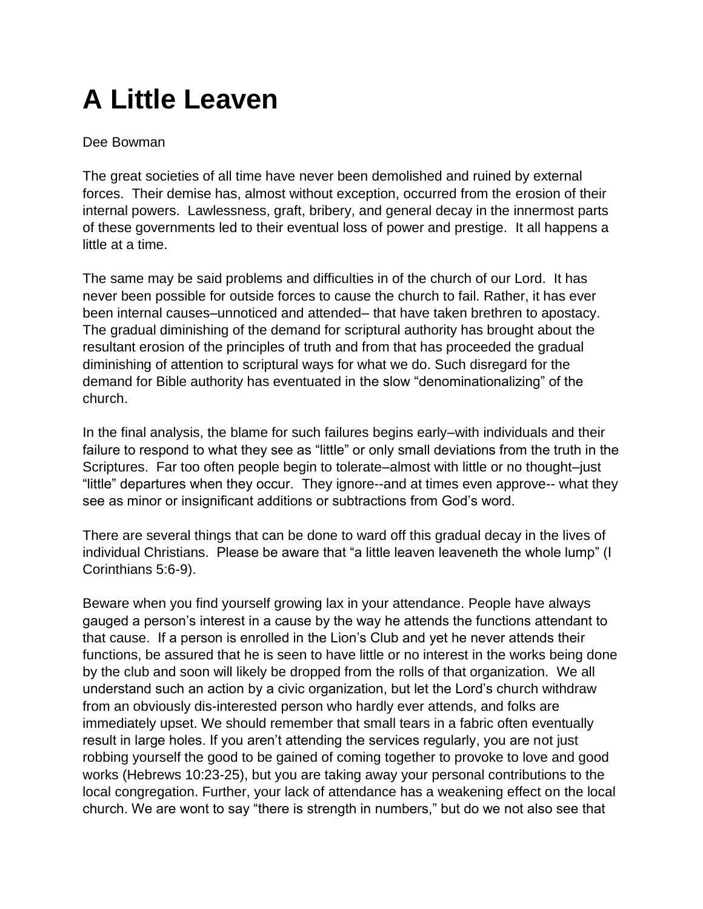## **A Little Leaven**

## Dee Bowman

The great societies of all time have never been demolished and ruined by external forces. Their demise has, almost without exception, occurred from the erosion of their internal powers. Lawlessness, graft, bribery, and general decay in the innermost parts of these governments led to their eventual loss of power and prestige. It all happens a little at a time.

The same may be said problems and difficulties in of the church of our Lord. It has never been possible for outside forces to cause the church to fail. Rather, it has ever been internal causes–unnoticed and attended– that have taken brethren to apostacy. The gradual diminishing of the demand for scriptural authority has brought about the resultant erosion of the principles of truth and from that has proceeded the gradual diminishing of attention to scriptural ways for what we do. Such disregard for the demand for Bible authority has eventuated in the slow "denominationalizing" of the church.

In the final analysis, the blame for such failures begins early–with individuals and their failure to respond to what they see as "little" or only small deviations from the truth in the Scriptures. Far too often people begin to tolerate–almost with little or no thought–just "little" departures when they occur. They ignore--and at times even approve-- what they see as minor or insignificant additions or subtractions from God's word.

There are several things that can be done to ward off this gradual decay in the lives of individual Christians. Please be aware that "a little leaven leaveneth the whole lump" (I Corinthians 5:6-9).

Beware when you find yourself growing lax in your attendance. People have always gauged a person's interest in a cause by the way he attends the functions attendant to that cause. If a person is enrolled in the Lion's Club and yet he never attends their functions, be assured that he is seen to have little or no interest in the works being done by the club and soon will likely be dropped from the rolls of that organization. We all understand such an action by a civic organization, but let the Lord's church withdraw from an obviously dis-interested person who hardly ever attends, and folks are immediately upset. We should remember that small tears in a fabric often eventually result in large holes. If you aren't attending the services regularly, you are not just robbing yourself the good to be gained of coming together to provoke to love and good works (Hebrews 10:23-25), but you are taking away your personal contributions to the local congregation. Further, your lack of attendance has a weakening effect on the local church. We are wont to say "there is strength in numbers," but do we not also see that